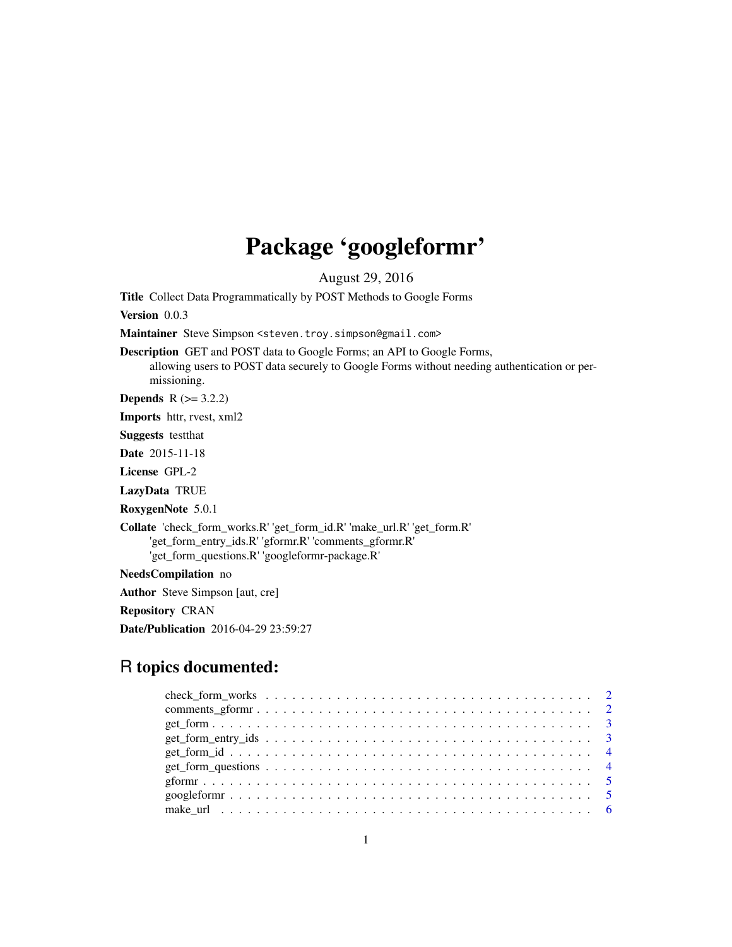## Package 'googleformr'

August 29, 2016

Title Collect Data Programmatically by POST Methods to Google Forms Version 0.0.3 Maintainer Steve Simpson <steven.troy.simpson@gmail.com> Description GET and POST data to Google Forms; an API to Google Forms, allowing users to POST data securely to Google Forms without needing authentication or permissioning. **Depends**  $R$  ( $>= 3.2.2$ ) Imports httr, rvest, xml2 Suggests testthat Date 2015-11-18

License GPL-2

LazyData TRUE

RoxygenNote 5.0.1

Collate 'check\_form\_works.R' 'get\_form\_id.R' 'make\_url.R' 'get\_form.R' 'get\_form\_entry\_ids.R' 'gformr.R' 'comments\_gformr.R' 'get\_form\_questions.R' 'googleformr-package.R'

NeedsCompilation no

Author Steve Simpson [aut, cre]

Repository CRAN

Date/Publication 2016-04-29 23:59:27

### R topics documented: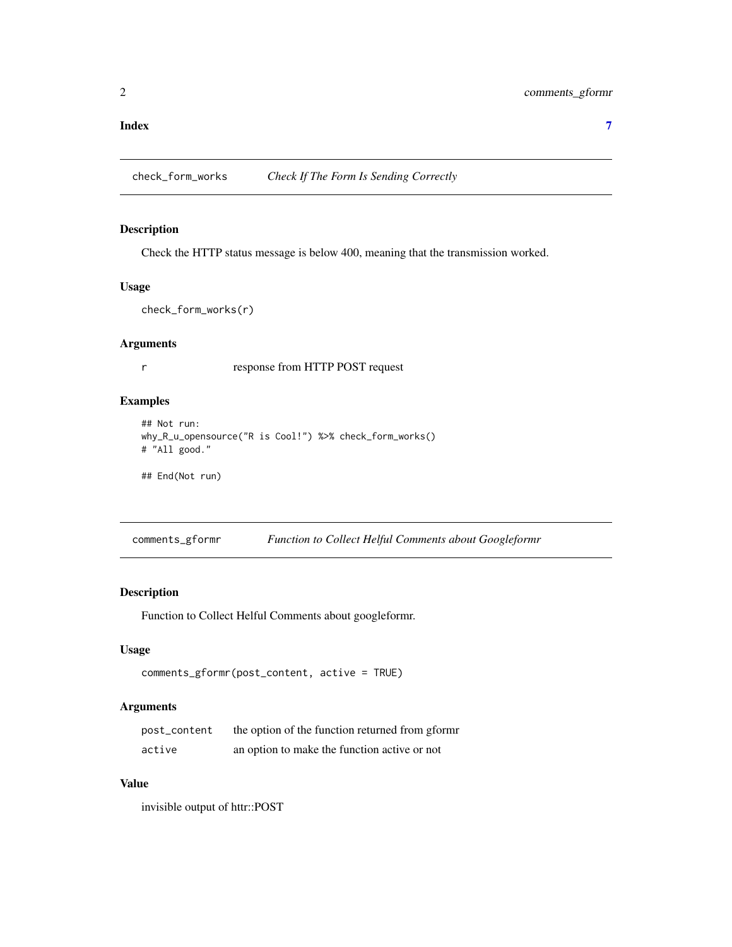#### <span id="page-1-0"></span>**Index** [7](#page-6-0) **7**

#### Description

Check the HTTP status message is below 400, meaning that the transmission worked.

#### Usage

```
check_form_works(r)
```
#### Arguments

r response from HTTP POST request

#### Examples

```
## Not run:
why_R_u_opensource("R is Cool!") %>% check_form_works()
# "All good."
```
## End(Not run)

comments\_gformr *Function to Collect Helful Comments about Googleformr*

#### Description

Function to Collect Helful Comments about googleformr.

#### Usage

```
comments_gformr(post_content, active = TRUE)
```
#### Arguments

| post_content | the option of the function returned from gform |
|--------------|------------------------------------------------|
| active       | an option to make the function active or not   |

#### Value

invisible output of httr::POST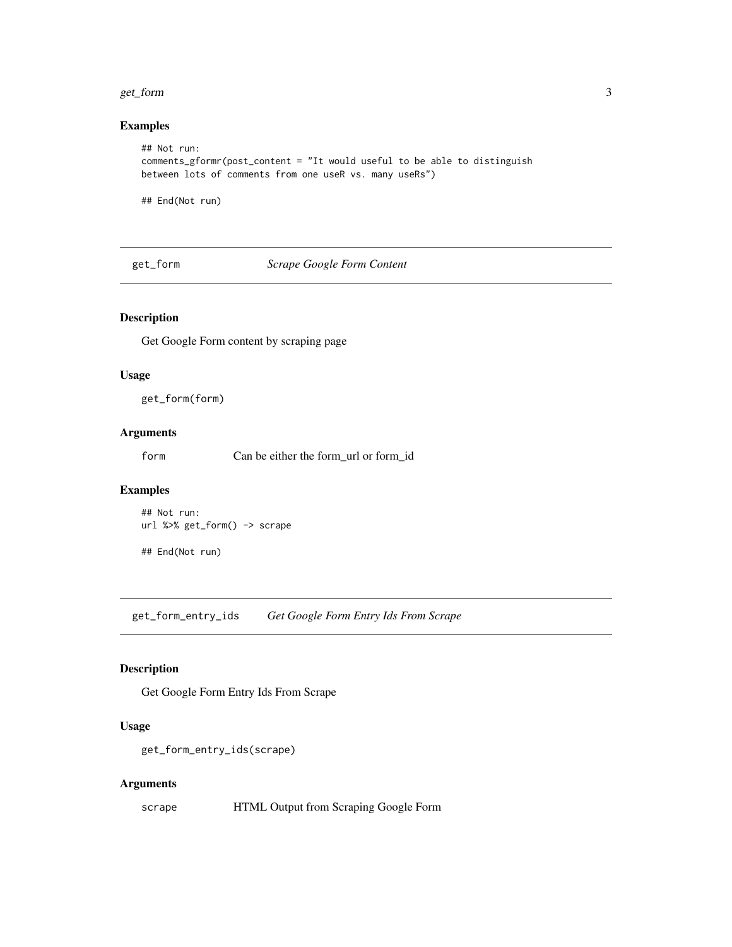#### <span id="page-2-0"></span>get\_form 3

#### Examples

```
## Not run:
comments_gformr(post_content = "It would useful to be able to distinguish
between lots of comments from one useR vs. many useRs")
```
## End(Not run)

get\_form *Scrape Google Form Content*

#### Description

Get Google Form content by scraping page

#### Usage

get\_form(form)

#### Arguments

form Can be either the form\_url or form\_id

#### Examples

## Not run: url %>% get\_form() -> scrape

## End(Not run)

get\_form\_entry\_ids *Get Google Form Entry Ids From Scrape*

#### Description

Get Google Form Entry Ids From Scrape

#### Usage

```
get_form_entry_ids(scrape)
```
#### Arguments

scrape **HTML Output from Scraping Google Form**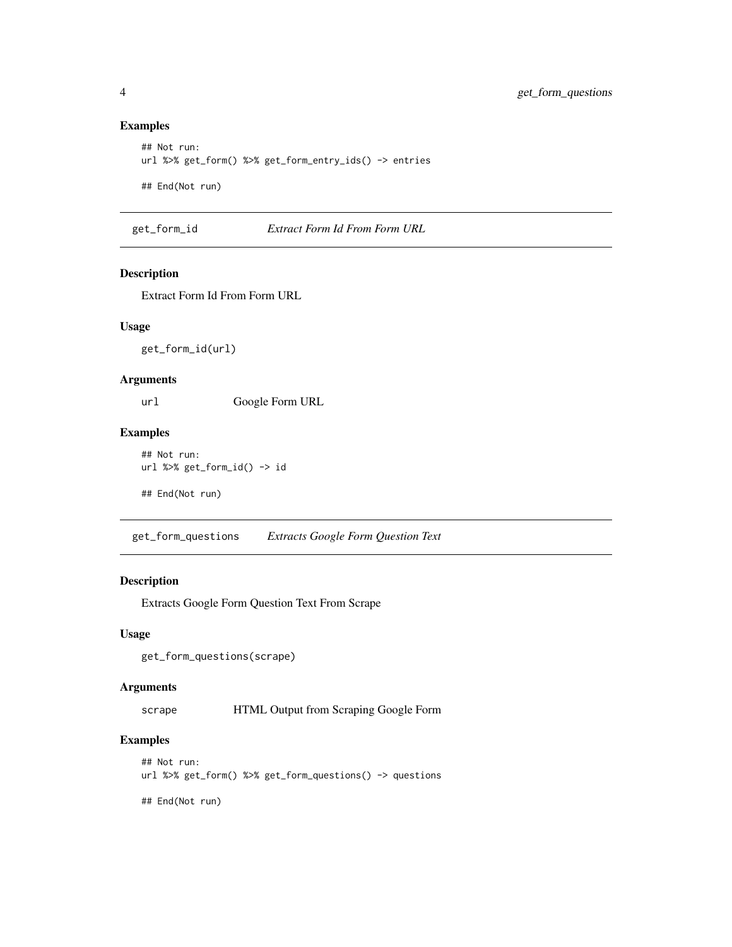#### Examples

```
## Not run:
url %>% get_form() %>% get_form_entry_ids() -> entries
## End(Not run)
```
get\_form\_id *Extract Form Id From Form URL*

#### Description

Extract Form Id From Form URL

#### Usage

get\_form\_id(url)

#### Arguments

url Google Form URL

#### Examples

## Not run: url %>% get\_form\_id() -> id

## End(Not run)

get\_form\_questions *Extracts Google Form Question Text*

#### Description

Extracts Google Form Question Text From Scrape

#### Usage

get\_form\_questions(scrape)

#### Arguments

scrape **HTML Output from Scraping Google Form** 

#### Examples

```
## Not run:
url %>% get_form() %>% get_form_questions() -> questions
```
## End(Not run)

<span id="page-3-0"></span>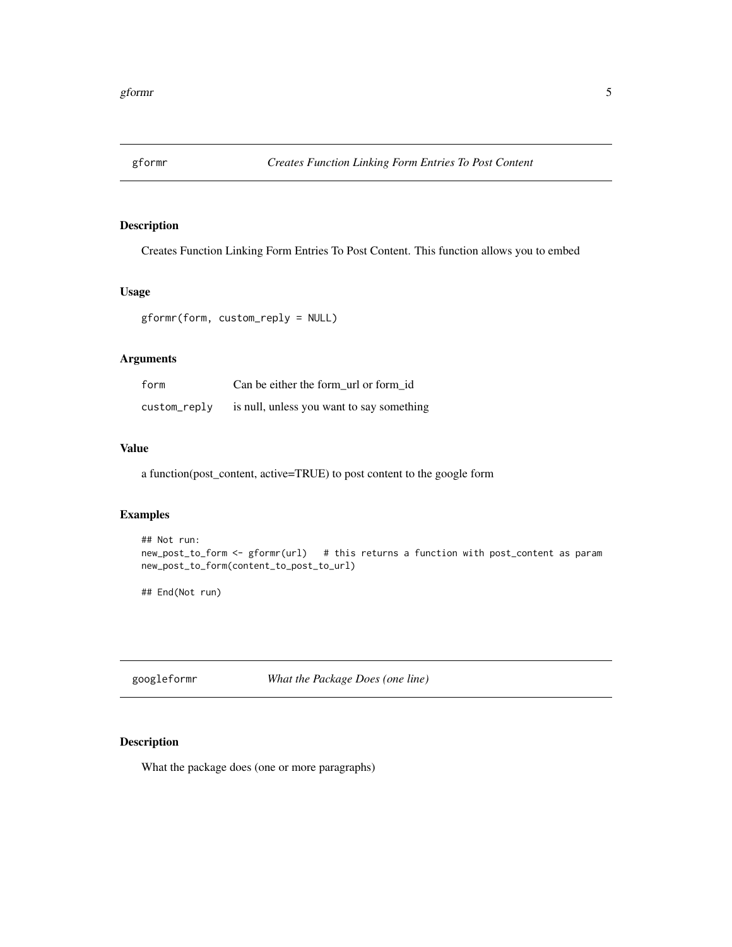<span id="page-4-0"></span>

#### Description

Creates Function Linking Form Entries To Post Content. This function allows you to embed

#### Usage

gformr(form, custom\_reply = NULL)

#### Arguments

| form         | Can be either the form url or form id     |
|--------------|-------------------------------------------|
| custom_reply | is null, unless you want to say something |

#### Value

a function(post\_content, active=TRUE) to post content to the google form

#### Examples

```
## Not run:
new_post_to_form <- gformr(url) # this returns a function with post_content as param
new_post_to_form(content_to_post_to_url)
```
## End(Not run)

googleformr *What the Package Does (one line)*

#### Description

What the package does (one or more paragraphs)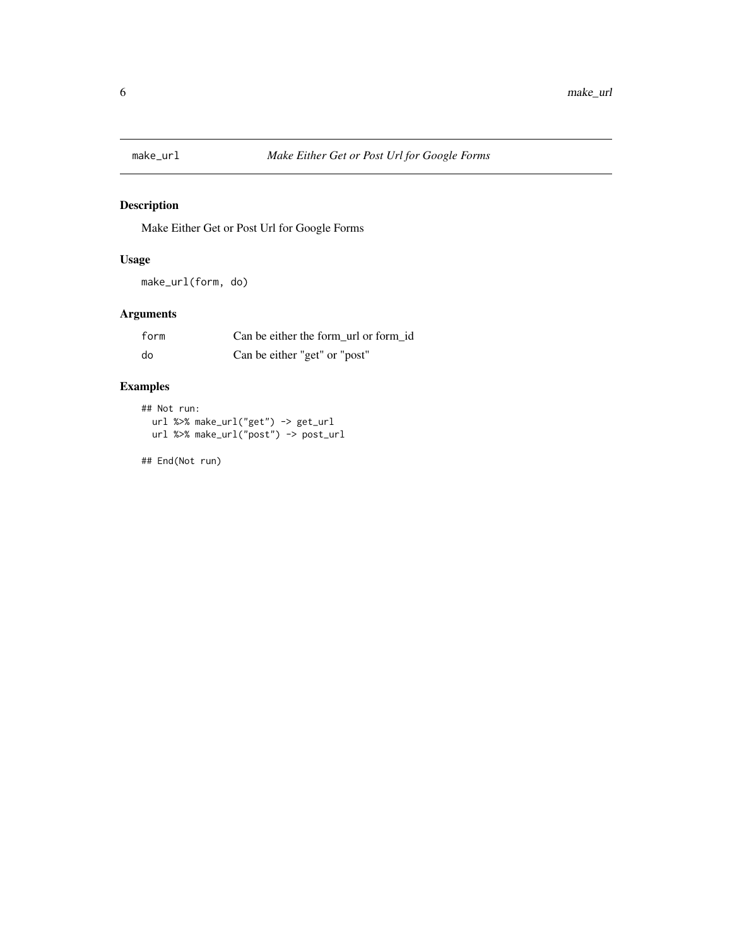<span id="page-5-0"></span>

#### Description

Make Either Get or Post Url for Google Forms

#### Usage

make\_url(form, do)

#### Arguments

| form | Can be either the form url or form id |
|------|---------------------------------------|
| do   | Can be either "get" or "post"         |

#### Examples

```
## Not run:
  url %>% make_url("get") -> get_url
 url %>% make_url("post") -> post_url
```
## End(Not run)